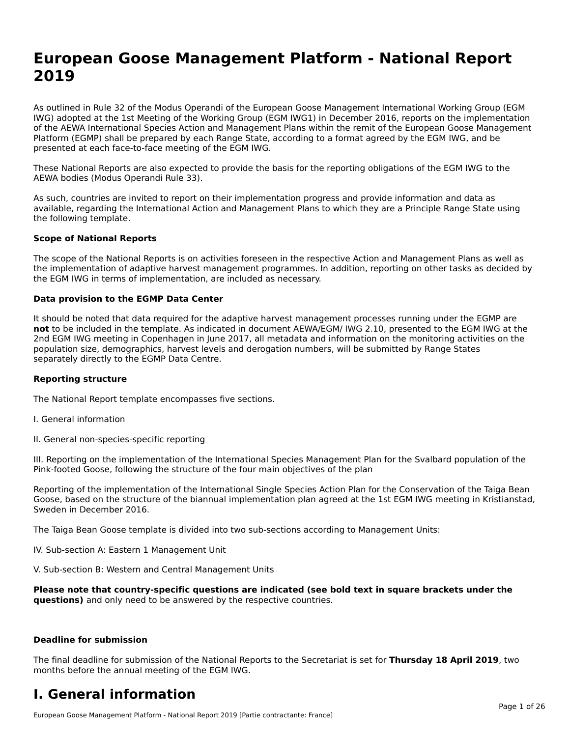# **European Goose Management Platform - National Report**European Goose Management Platform - National **Neport**<br>2010

As outlined in Rule 32 of the Modus Operandi of the European Goose Management International Working Group (EGM As buthled in Rule 32 of the Modus Operandi of the Lufopean Goose Management International Working Group (LGM<br>IWG) adopted at the 1st Meeting of the Working Group (EGM IWG1) in December 2016, reports on the implementation of the AEWA International Species Action and Management Plans within the remit of the European Goose Management Platform (EGMP) shall be prepared by each Range State, according to a format agreed by the EGM IWG, and be presented at each face-to-face meeting of the EGM IWG.

These National Reports are also expected to provide the basis for the reporting obligations of the EGM IWG to the AEWA bodies (Modus Operandi Rule 33).

As such, countries are invited to report on their implementation progress and provide information and data as<br>available, regarding the International Action and Management Plans to which they are a Principle Range State usi available, regarding the International Action and Management Plans to which they are a Principle Range State using the following template.

#### **Scope of National Reports**

The scope of the National Reports is on activities foreseen in the respective Action and Management Plans as well as The scope of the National Reports is on activities foreseen in the respective Action and Management Plans as well as<br>the implementation of adaptive harvest management programmes. In addition, reporting on other tasks as de the EGM IWG in terms of implementation, are included as necessary.

#### **Data provision to the EGMP Data Center**

It should be noted that data required for the adaptive harvest management processes running under the EGMP are **not** to be included in the template. As indicated in document AEWA/EGM/ IWG 2.10, presented to the EGM IWG at the 2nd EGM IWG meeting in Copenhagen in June 2017, all metadata and information on the monitoring activities on the population size, demographics, harvest levels and derogation numbers, will be submitted by Range States separately directly to the EGMP Data Centre.

#### **Reporting structure**

The National Report template encompasses five sections.

- I. General information
- II. General non-species-specific reporting

III. Reporting on the implementation of the International Species Management Plan for the Svalbard population of the

Reporting of the implementation of the International Single Species Action Plan for the Conservation of the Taiga Bean Reporting of the implementation of the international single species Action Fram for the conservation of the laiga beam<br>Goose, based on the structure of the biannual implementation plan agreed at the 1st EGM IWG meeting in

The Taiga Bean Goose template is divided into two sub-sections according to Management Units:

IV. Sub-section A: Eastern 1 Management Unit

V. Sub-section B: Western and Central Management Units

Please note that country-specific questions are indicated (see bold text in square brackets under the **questions)** and only need to be answered by the respective countries.

#### **Deadline for submission**

The final deadline for submission of the National Reports to the Secretariat is set for **Thursday 18 April 2019**, two months before the annual meeting of the EGM IWG.

### **I. General information**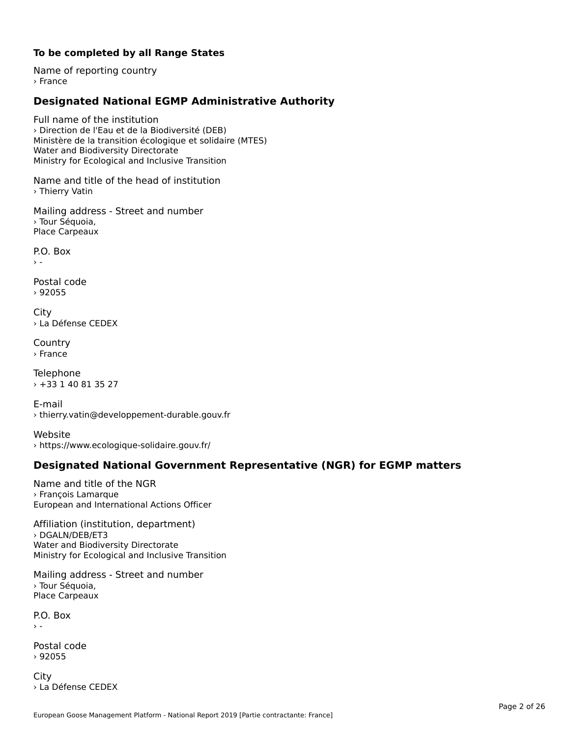### **To be completed by all Range States**

Name of reporting country› France

# **Designated National EGMP Administrative Authority**

Full name of the institution› Direction de l'Eau et de la Biodiversité (DEB)Ministère de la transition écologique et solidaire (MTES) winnstere de la transition ecologiqu<br>Water and Biodiversity Directorate water and Biodiversity Birectorate<br>Ministry for Ecological and Inclusive Transition

Name and title of the head of institution › Thierry Vatin

Mailing address - Street and number › Tour Séquoia,Place Carpeaux

P.O. Box $\rightarrow$   $-$ 

Postal code› 92055

City › La Défense CEDEX

**Country** › France

Telephone › +33 1 40 81 35 27

E-mail› thierry.vatin@developpement-durable.gouv.fr

Website› https://www.ecologique-solidaire.gouv.fr/

## **Designated National Government Representative (NGR) for EGMP matters**

Name and title of the NGR› François LamarqueEuropean and International Actions Officer

Affiliation (institution, department) › DGALN/DEB/ET3Water and Biodiversity Directorate water and Biodiversity Birectorate<br>Ministry for Ecological and Inclusive Transition

Mailing address - Street and number › Tour Séquoia, Place Carpeaux

P.O. Box  $\rightarrow$  -

Postal code› 92055

**City** › La Défense CEDEX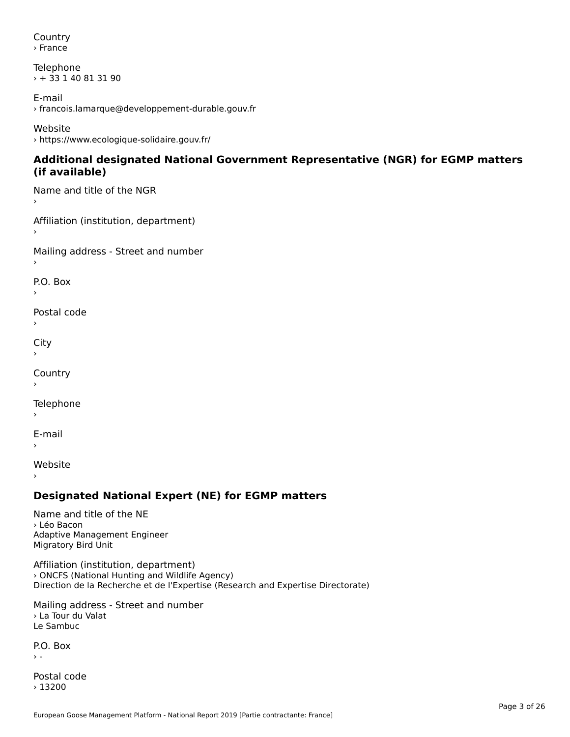Country› France

Telephone › + 33 1 40 81 31 90

E-mail › francois.lamarque@developpement-durable.gouv.fr

Website› https://www.ecologique-solidaire.gouv.fr/

### **Additional designated National Government Representative (NGR) for EGMP matters (if available)**(if available)

Name and title of the NGR›

Affiliation (institution, department)›

Mailing address - Street and number

P.O. Box

Postal code›

 $\mathbf{C}^{\text{in}}$ 

›

Country›

Telephone

E-mail›

›

Website

## **Designated National Expert (NE) for EGMP matters**

Name and title of the NE› Léo BaconAdaptive Management Engineer Adaptive Managem<br>Migratory Bird Unit

Affiliation (institution, department) › ONCFS (National Hunting and Wildlife Agency) Direction de la Recherche et de l'Expertise (Research and Expertise Directorate)

Mailing address - Street and number › La Tour du ValatLe Sambuc

P.O. Box  $\rightarrow$  -

Postal code› 13200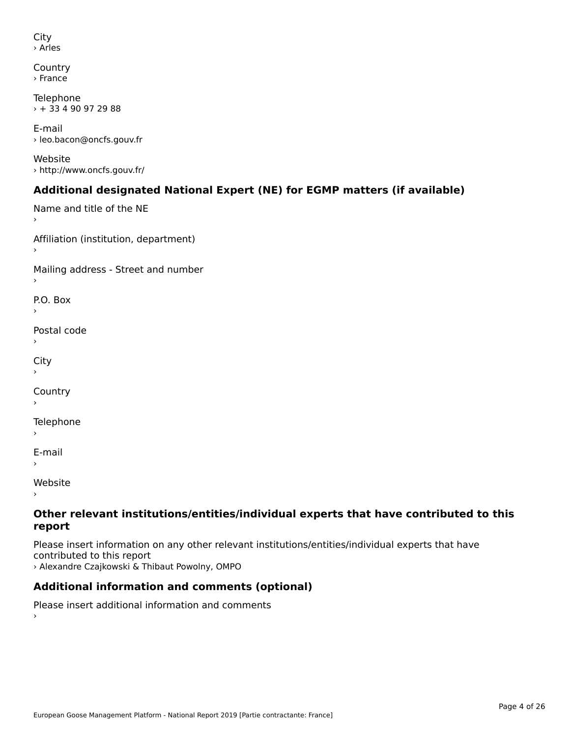```
City
› Arles
```

```
Country
› France
```
Telephone  $\rightarrow$  + 33 4 90 97 29 88

E-mail› leo.bacon@oncfs.gouv.fr

Website› http://www.oncfs.gouv.fr/

# **Additional designated National Expert (NE) for EGMP matters (if available)**

```
Name and title of the NE
Affiliation (institution, department)
Mailing address - Street and number
P.O. Box›Postal code›\mathbf{C}^{\text{th}}›Country
Telephone
E-mail›
```
Website

›

### **Other relevant institutions/entities/individual experts that have contributed to this report**report

Please insert information on any other relevant institutions/entities/individual experts that have › Alexandre Czajkowski & Thibaut Powolny, OMPO

# **Additional information and comments (optional)**

Please insert additional information and comments ›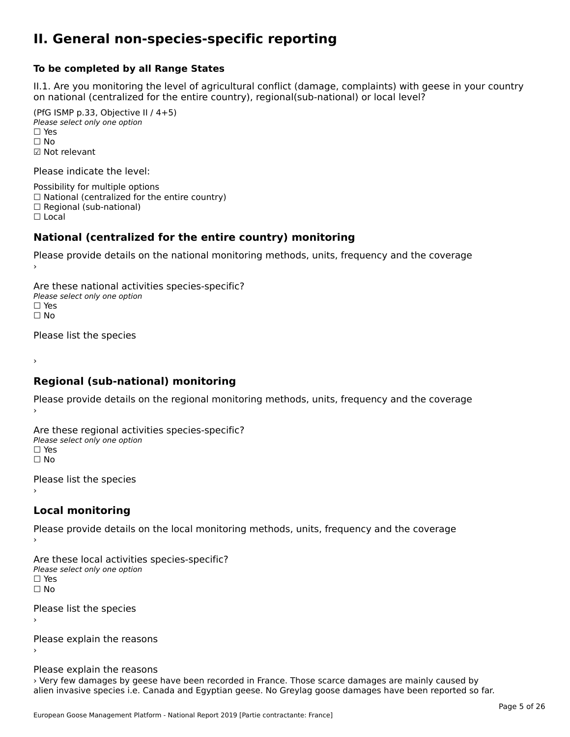### **II. General non-species-specific reporting**

#### **To be completed by all Range States**

II.1. Are you monitoring the level of agricultural conflict (damage, complaints) with geese in your country n.i. Are you monitoring the lever or agricultural connict (damage, complaints) with g<br>on national (centralized for the entire country), regional(sub-national) or local level?

(PfG ISMP p.33, Objective II  $(4+5)$ ) ∪ is in p.55, objective<br>Please select only one option □ Yes<br>□ No ☑ Not relevant

Please indicate the level:

Possibility for multiple options  $\Box$  National (centralized for the entire country)  $\Box$  Regional (sub-national)

☐ Local

#### **National (centralized for the entire country) monitoring**

Please provide details on the national monitoring methods, units, frequency and the coverage

Are these national activities species-specific? ∩ne enese national activity<br>Please select only one option ☐ No $\Box$  No

Please list the species

›

#### **Regional (sub-national) monitoring**

Please provide details on the regional monitoring methods, units, frequency and the coverage

Are these regional activities species-specific? ∩ne these regional activ<br>Please select only one option □ Yes<br>□ No

Please list the species ›

#### **Local monitoring**

Please provide details on the local monitoring methods, units, frequency and the coverage

Are these local activities species-specific? ∩ne enese local decrimed.<br>Please select only one option □ Yes<br>□ No

Please list the species ›

Please explain the reasons

Please explain the reasons

› Very few damages by geese have been recorded in France. Those scarce damages are mainly caused by alien invasive species i.e. Canada and Egyptian geese. No Greylag goose damages have been reported so far.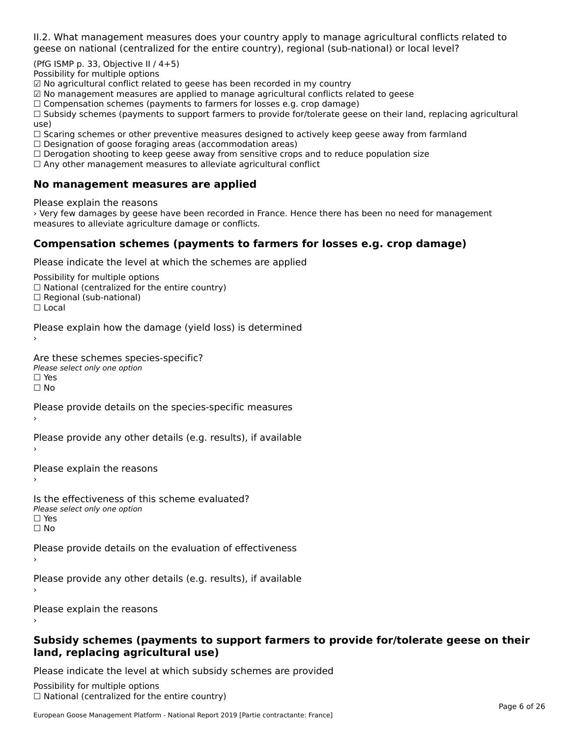II.2. What management measures does your country apply to manage agricultural conflicts related to

(PfG ISMP p. 33, Objective II  $/$  4+5)

Possibility for multiple options

☑ No agricultural conflict related to geese has been recorded in my country

☑ No management measures are applied to manage agricultural conflicts related to geese

⊠ No management measures are applied to manage agricultural connicts rela<br>□ Compensation schemes (payments to farmers for losses e.g. crop damage)

□ Compensation schemes (payments to farmers for losses e.g. crop damage)<br>□ Subsidy schemes (payments to support farmers to provide for/tolerate geese on their land, replacing agricultural use)

use,<br>□ Scaring schemes or other preventive measures designed to actively keep geese away from farmland

 $\Box$  Designation of goose foraging areas (accommodation areas)

□ Designation or goose foraging areas (accommodation areas)<br>□ Derogation shooting to keep geese away from sensitive crops and to reduce population size

 $\Box$  Any other management measures to alleviate agricultural conflict

### **No management measures are applied**

Please explain the reasons

› Very few damages by geese have been recorded in France. Hence there has been no need for management measures to alleviate agriculture damage or conflicts.

## **Compensation schemes (payments to farmers for losses e.g. crop damage)**

Please indicate the level at which the schemes are applied

Possibility for multiple options rossibility for multiple options<br>□ National (centralized for the entire country) □ National (centralized io<br>□ Regional (sub-national)

☐ Local

›

Please explain how the damage (yield loss) is determined

Are these schemes species-specific?∩ne these senemes spee<br>Please select only one option ים וכ∍<br>⊡ No

Please provide details on the species-specific measures

Please provide any other details (e.g. results), if available

Please explain the reasons›

Is the effectiveness of this scheme evaluated?□ CITC CITCCLIVENC55 OF C<br>Please select only one option □ Yes<br>□ No

Please provide details on the evaluation of effectiveness

Please provide any other details (e.g. results), if available

Please explain the reasons

### **Subsidy schemes (payments to support farmers to provide for/tolerate geese on their land, replacing agricultural use)**land, replacing agricultural use)

Please indicate the level at which subsidy schemes are provided

Possibility for multiple options ™assibility for multiple options<br>□ National (centralized for the entire country)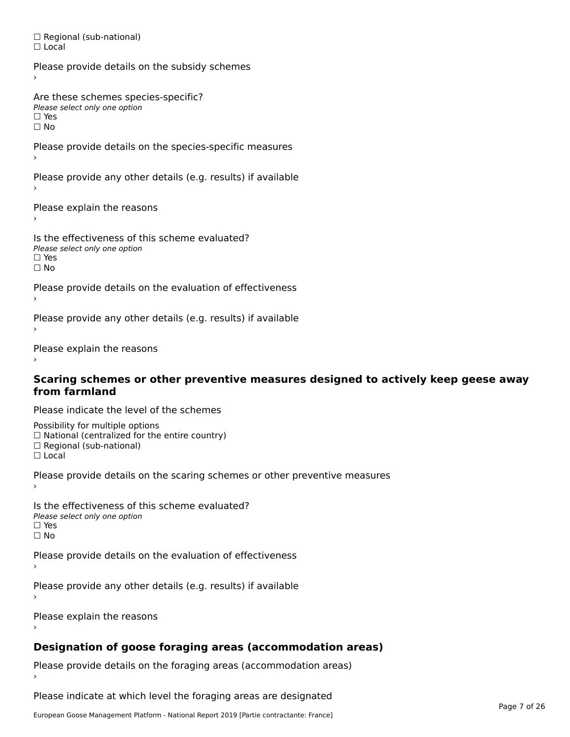□ Regional (sub-national) ☐ Local

Please provide details on the subsidy schemes Are these schemes species-specific? Please select only one option<br>□ Yes □ Yes<br>□ No Please provide details on the species-specific measures Please provide any other details (e.g. results) if available Please explain the reasons

Is the effectiveness of this scheme evaluated?□ CIC CILCCLIVENC55 OF C<br>Please select only one option  $\square$  Yes ☐ No

Please provide details on the evaluation of effectiveness

Please provide any other details (e.g. results) if available

Please explain the reasons

### **Scaring schemes or other preventive measures designed to actively keep geese away from farmland**

Please indicate the level of the schemes

Possibility for multiple options rossibility for multiple options<br>□ National (centralized for the entire country) □ National (centralized io<br>□ Regional (sub-national)

☐ Local

Please provide details on the scaring schemes or other preventive measures

Is the effectiveness of this scheme evaluated?□ CITC CITCCLIVENC55 OF C<br>Please select only one option □ Yes<br>□ No

Please provide details on the evaluation of effectiveness

Please provide any other details (e.g. results) if available

Please explain the reasons

# **Designation of goose foraging areas (accommodation areas)**

Please provide details on the foraging areas (accommodation areas)

Please indicate at which level the foraging areas are designated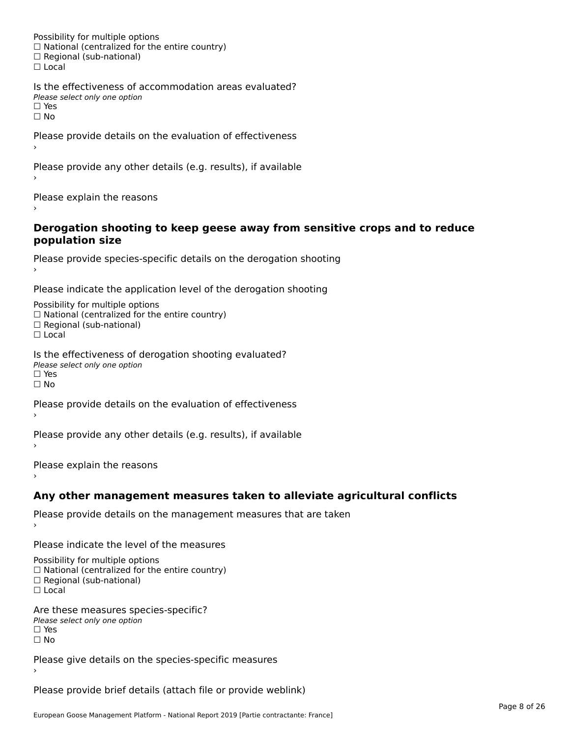Possibility for multiple options rossibility for multiple options<br>□ National (centralized for the entire country) □ National (centralized io<br>□ Regional (sub-national) ☐ Local

Is the effectiveness of accommodation areas evaluated?□ CITC CITCCITCITESS OF Q<br>Please select only one option  $\square$  Yes ☐ No

Please provide details on the evaluation of effectiveness

Please provide any other details (e.g. results), if available

Please explain the reasons

### **Derogation shooting to keep geese away from sensitive crops and to reduce population size**population size

```
Please provide species-specific details on the derogation shooting ›
```
Please indicate the application level of the derogation shooting

Possibility for multiple options rossibility for multiple options<br>□ National (centralized for the entire country)

□ National (centralized io<br>□ Regional (sub-national)

☐ Local

Is the effectiveness of derogation shooting evaluated? Please select only one option

rıease<br>□ Yes

☐ No

Please provide details on the evaluation of effectiveness

Please provide any other details (e.g. results), if available

Please explain the reasons

## **Any other management measures taken to alleviate agricultural conflicts**

Please provide details on the management measures that are taken

Please indicate the level of the measures

Possibility for multiple options rossibility for multiple options<br>□ National (centralized for the entire country) □ National (centralized io<br>□ Regional (sub-national)

☐ Local

Are these measures species-specific? ric criese measures spe<br>Please select only one option *riease*<br>□ Yes ☐ No

Please give details on the species-specific measures

Please provide brief details (attach file or provide weblink)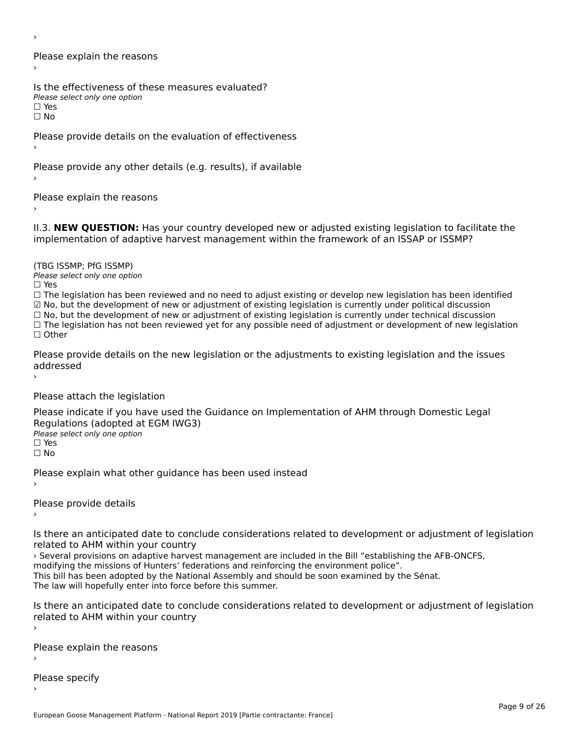›

Please explain the reasons›

Is the effectiveness of these measures evaluated? Please select only one option

☐ Yes

ים וכ∍<br>⊡ No

Please provide details on the evaluation of effectiveness

Please provide any other details (e.g. results), if available

Please explain the reasons

II.3. **NEW QUESTION:** Has your country developed new or adjusted existing legislation to facilitate the

(TBG ISSMP; PfG ISSMP)

Please select only one option ☐ Yes

☐ The legislation has been reviewed and no need to adjust existing or develop new legislation has been identified ☑ No, but the development of new or adjustment of existing legislation is currently under political discussion

⊠ No, but the development of new or adjustment of existing legislation is currently under political discussion<br>□ No, but the development of new or adjustment of existing legislation is currently under technical discussion

☐ The legislation has not been reviewed yet for any possible need of adjustment or development of new legislation ☐ Other

Please provide details on the new legislation or the adjustments to existing legislation and the issues addressed

Please attach the legislation

Please indicate if you have used the Guidance on Implementation of AHM through Domestic Legal Regulations (adopted at EGM IWG3)Please select only one option ☐ Yes

☐ No

Please explain what other guidance has been used instead

Please provide details›

Is there an anticipated date to conclude considerations related to development or adjustment of legislation related to AHM within your country

› Several provisions on adaptive harvest management are included in the Bill "establishing the AFB-ONCFS,

modifying the missions of Hunters' federations and reinforcing the environment police".

modifying the missions of funters Tederations and reinforcing the environment police.<br>This bill has been adopted by the National Assembly and should be soon examined by the Sénat.

The law will hopefully enter into force before this summer.

Is there an anticipated date to conclude considerations related to development or adjustment of legislation is there are anticipated date to control<br>related to AHM within your country

Please explain the reasons

Please specify›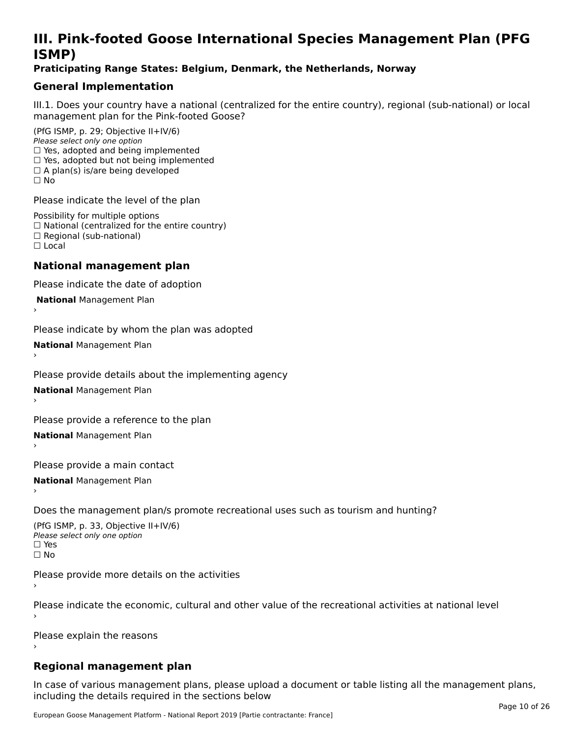# **III. Pink-footed Goose International Species Management Plan (PFG**III. FIIIN-IUULEU GUUSE IIILEI II**atiunai Species Management Fian (FTG**<br>ISMD)

### **Praticipating Range States: Belgium, Denmark, the Netherlands, Norway**

## **General Implementation**

III.1. Does your country have a national (centralized for the entire country), regional (sub-national) or local

(PfG ISMP, p. 29; Objective II+IV/6) Please select only one option *riease select only one option*<br>□ Yes, adopted and being implemented  $\Box$  res, adopted and being implemented<br> $\Box$  Yes, adopted but not being implemented  $\Box$  A plan(s) is/are being developed ☐ No

Please indicate the level of the plan

Possibility for multiple options rossibility for multiple options<br>□ National (centralized for the entire country) □ National (centralized io<br>□ Regional (sub-national) ☐ Local

#### **National management plan**

Please indicate the date of adoption

 **National** Management Plan

›

Please indicate by whom the plan was adopted

**National** Management Plan ›

Please provide details about the implementing agency

**National** Management Plan ›

Please provide a reference to the plan

**National** Management Plan ›

Please provide a main contact

**National** Management Plan ›

Does the management plan/s promote recreational uses such as tourism and hunting?

(PfG ISMP, p. 33, Objective II+IV/6) Please select only one optionPlease select only one option  $\square$  Yes ☐ No

Please provide more details on the activities

Please indicate the economic, cultural and other value of the recreational activities at national level

Please explain the reasons

### **Regional management plan**

In case of various management plans, please upload a document or table listing all the management plans,in case or various management plans, please uploa<br>in the direct below the its required in the sections below including the details required in the sections below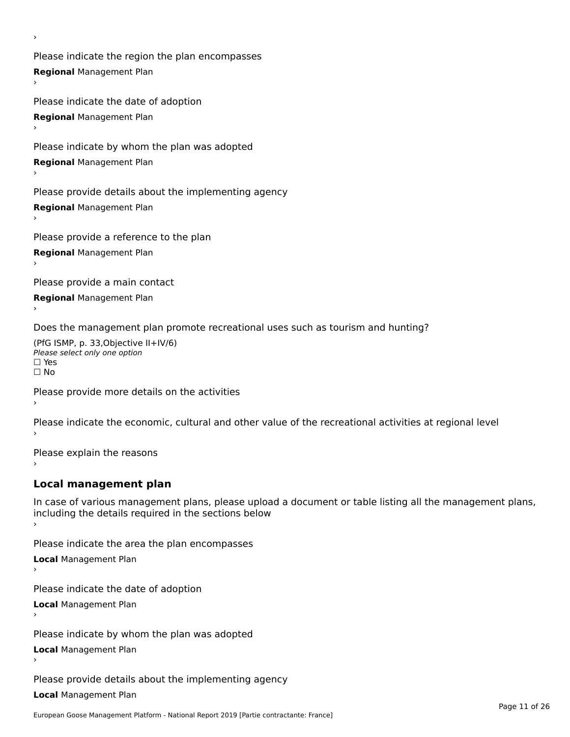Please indicate the region the plan encompasses **Regional** Management Plan

Please indicate the date of adoption **Regional** Management Plan ›

Please indicate by whom the plan was adopted

**Regional** Management Plan

›

Please provide details about the implementing agency

**Regional** Management Plan

Please provide a reference to the plan

**Regional** Management Plan

Please provide a main contact

**Regional** Management Plan

Does the management plan promote recreational uses such as tourism and hunting?

(PfG ISMP, p. 33,Objective II+IV/6) ∩∩ וויוכו פון<br>Please select only one option<br>□ Yes □ Yes<br>□ No

Please provide more details on the activities

Please indicate the economic, cultural and other value of the recreational activities at regional level

Please explain the reasons ›

## **Local management plan**

In case of various management plans, please upload a document or table listing all the management plans, In case of various management plans, please uploa<br>including the details required in the sections below

Please indicate the area the plan encompasses

**Local** Management Plan

Please indicate the date of adoption

**Local** Management Plan›

Please indicate by whom the plan was adopted

**Local** Management Plan

Please provide details about the implementing agency

**Local** Management Plan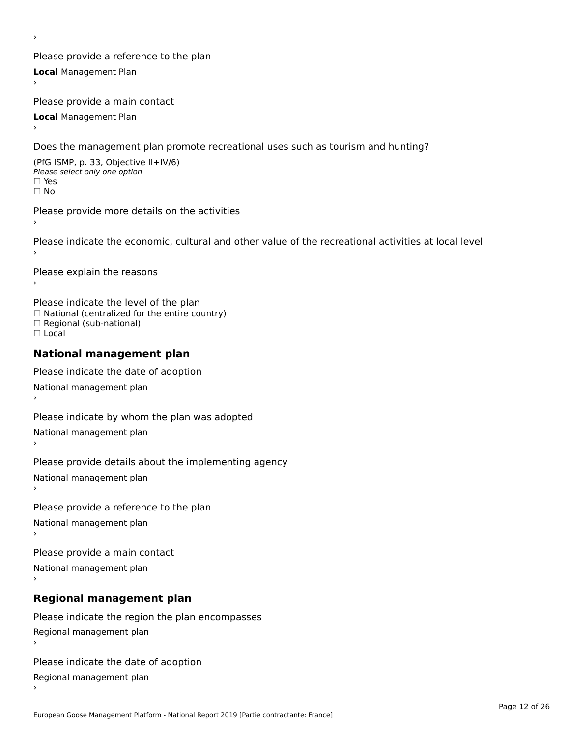Please provide a reference to the plan **Local** Management Plan

Please provide a main contact

**Local** Management Plan

›

Does the management plan promote recreational uses such as tourism and hunting?

(PfG ISMP, p. 33, Objective II+IV/6) Please select only one option☐ Yes☐ No

Please provide more details on the activities

Please indicate the economic, cultural and other value of the recreational activities at local level

Please explain the reasons ›

Please indicate the level of the plan ∩ease marcate the lever of the plan<br>□ National (centralized for the entire country) □ National (centralized io<br>□ Regional (sub-national) ☐ Local

#### **National management plan**

Please indicate the date of adoption National management plan

Please indicate by whom the plan was adopted National management plan ›

Please provide details about the implementing agency

National management plan

Please provide a reference to the plan

National management plan

Please provide a main contact

National management plan

# **Regional management plan**

Please indicate the region the plan encompasses Regional management plan

Please indicate the date of adoption

Regional management plan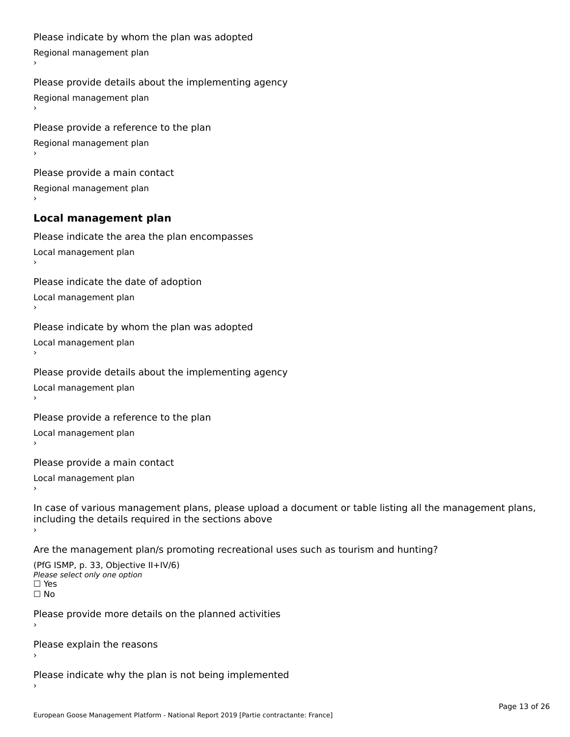```
Please indicate by whom the plan was adopted Regional management plan
Please provide details about the implementing agency Regional management plan
Please provide a reference to the plan Regional management plan
Please provide a main contact Regional management plan
Local management plan
Please indicate the area the plan encompasses Local management plan›Please indicate the date of adoption Local management plan١,
Please indicate by whom the plan was adopted Local management plan›Please provide details about the implementing agency Local management plan١,
Please provide a reference to the plan Local management plan›Please provide a main contact Local management plan١,
In case of various management plans, please upload a document or table listing all the management plans,in case or various management plans, please upload
including the details required in the sections above
Are the management plan/s promoting recreational uses such as tourism and hunting?
```

```
(PfG ISMP, p. 33, Objective II+IV/6)
Please select only one option☐ Yes☐ No
```
Please provide more details on the planned activities

Please explain the reasons›

Please indicate why the plan is not being implemented›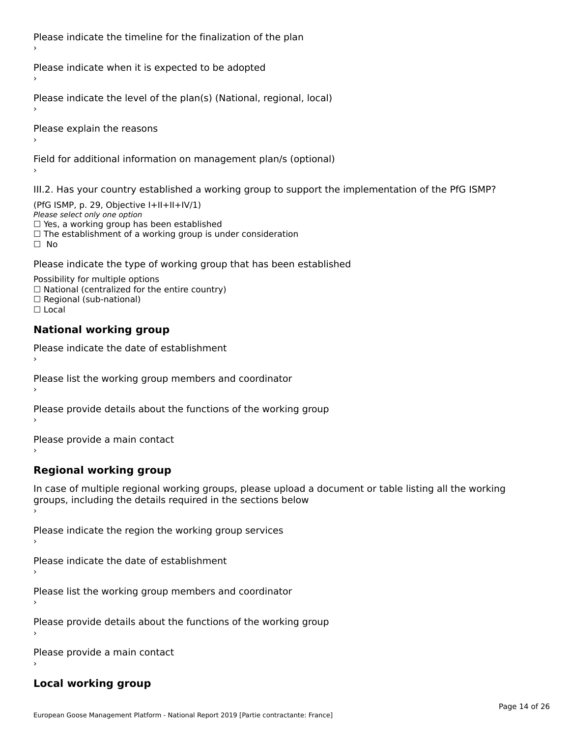Please indicate the timeline for the finalization of the plan

Please indicate when it is expected to be adopted

Please indicate the level of the plan(s) (National, regional, local)

Please explain the reasons

Field for additional information on management plan/s (optional)

III.2. Has your country established a working group to support the implementation of the PfG ISMP?

(PfG ISMP, p. 29, Objective I+II+II+IV/1)Please select only one option □ Yes, a working group has been established □ Tes, a working group has been established<br>□ The establishment of a working group is under consideration

Please indicate the type of working group that has been established

Possibility for multiple options ™assibility for multiple options<br>□ National (centralized for the entire country) □ National (centralized io<br>□ Regional (sub-national)  $\Box$  Local

#### **National working group**

›

Please indicate the date of establishment

Please list the working group members and coordinator ›

Please provide details about the functions of the working group ›

Please provide a main contact ›

**Regional working group**

In case of multiple regional working groups, please upload a document or table listing all the working In case of multiple regional working groups, please upload a<br>groups, including the details required in the sections below

Please indicate the region the working group services ›

Please indicate the date of establishment ›

Please list the working group members and coordinator ›

Please provide details about the functions of the working group ›

Please provide a main contact ›

### **Local working group**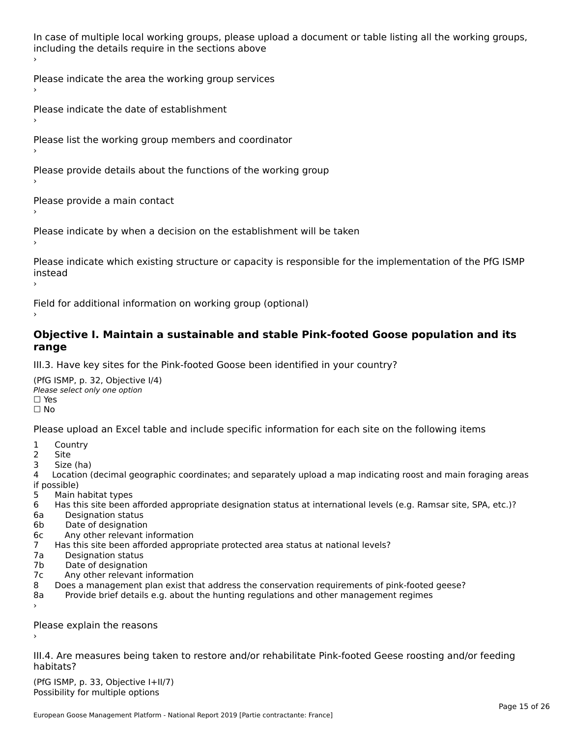In case of multiple local working groups, please upload a document or table listing all the working groups, in case of multiple local working groups, please up ›

Please indicate the area the working group services ›

Please indicate the date of establishment ›

Please list the working group members and coordinator

›

Please provide details about the functions of the working group ›

Please provide a main contact ›

Please indicate by when a decision on the establishment will be taken

Please indicate which existing structure or capacity is responsible for the implementation of the PfG ISMP instead ›

Field for additional information on working group (optional)

### **Objective I. Maintain a sustainable and stable Pink-footed Goose population and its range**range

III.3. Have key sites for the Pink-footed Goose been identified in your country?

(PfG ISMP, p. 32, Objective I/4)Please select only one option ☐ Yes☐ No

Please upload an Excel table and include specific information for each site on the following items

- $1 \quad \alpha$
- 2 Site
- 2 Site<br>3 Size (ha)

د حدد una<br>4 Location (decimal geographic coordinates; and separately upload a map indicating roost and main foraging areas 4 Location<br>if possible)

- 5 Main habitat types
- 6 Has this site been afforded appropriate designation status at international levels (e.g. Ramsar site, SPA, etc.)? 6. Bestweetter status
- 6a Designation status<br>6b Date of designation
- 
- 6c Any other relevant information
- 7 Has this site been afforded appropriate protected area status at national levels? 7a Designation status
- 7a Designation status<br>7b Date of designation
- 
- 7c Any other relevant information
- 8 Does a management plan exist that address the conservation requirements of pink-footed geese?
- 8a Provide brief details e.g. about the hunting regulations and other management regimes ›

Please explain the reasons

III.4. Are measures being taken to restore and/or rehabilitate Pink-footed Geese roosting and/or feeding habitats?

 $(PCI GMP, p. 33, Qb)$  is the I+II/7) Possibility for multiple optionsPossibility for multiple options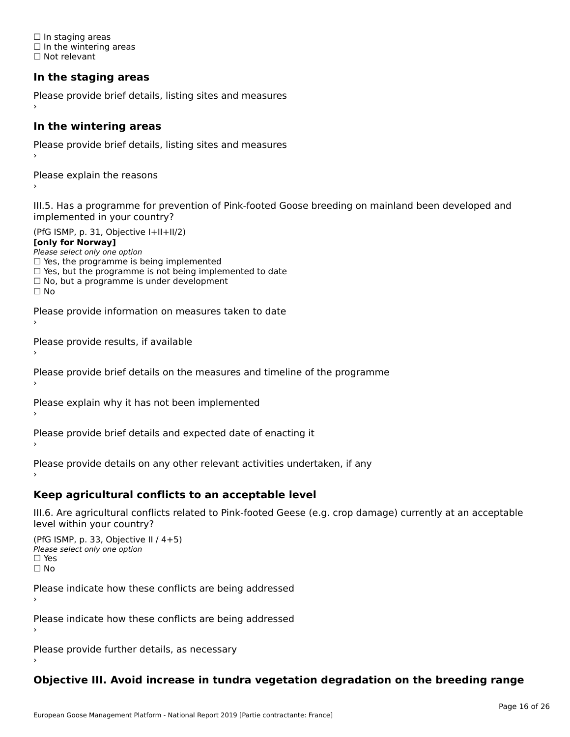☐ In staging areas □ in staging areas<br>□ In the wintering areas ☐ Not relevant

# **In the staging areas**

```
Please provide brief details, listing sites and measures ›
```
#### **In the wintering areas**

Please provide brief details, listing sites and measures ›

Please explain the reasons

III.5. Has a programme for prevention of Pink-footed Goose breeding on mainland been developed and implemented in your country?

(PfG ISMP, p. 31, Objective I+II+II/2)

**[only for Norway]**

Please select only one option riease select only one option<br>□ Yes, the programme is being implemented

 $\Box$  ies, the programme is being implemented to date  $\Box$  Yes, but the programme is not being implemented to date

 $\Box$  No, but a programme is under development

Please provide information on measures taken to date

Please provide results, if available

Please provide brief details on the measures and timeline of the programme

Please explain why it has not been implemented

Please provide brief details and expected date of enacting it

Please provide details on any other relevant activities undertaken, if any›

**Keep agricultural conflicts to an acceptable level**

III.6. Are agricultural conflicts related to Pink-footed Geese (e.g. crop damage) currently at an acceptable

```
(PfG ISMP, p. 33, Objective II (4+5))
Please select only one option
☐ Yes☐ No
```
Please indicate how these conflicts are being addressed

Please indicate how these conflicts are being addressed›

Please provide further details, as necessary ›

# **Objective III. Avoid increase in tundra vegetation degradation on the breeding range**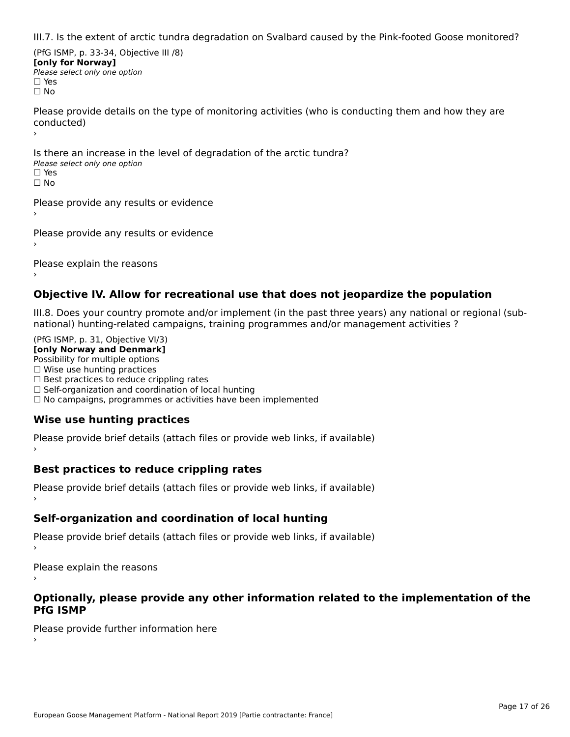III.7. Is the extent of arctic tundra degradation on Svalbard caused by the Pink-footed Goose monitored?

(PfG ISMP, p. 33-34, Objective III /8) **[only for Norway] Please select only one option** □ Yes<br>□ No

Please provide details on the type of monitoring activities (who is conducting them and how they are riease prov ›

Is there an increase in the level of degradation of the arctic tundra? □ CitCre dir increduce in c<br>Please select only one option □ Yes<br>□ No

Please provide any results or evidence

Please provide any results or evidence

Please explain the reasons›

## **Objective IV. Allow for recreational use that does not jeopardize the population**

III.8. Does your country promote and/or implement (in the past three years) any national or regional (sub $m.6.198$  your country promove and/or miplement (in the past time years) any national or

(PfG ISMP, p. 31, Objective VI/3) **[only Norway and Denmark]** Possibility for multiple options ☐ Wise use hunting practices  $\Box$  wise use numing practices<br> $\Box$  Best practices to reduce crippling rates □ Best practices to reduce crippinig rates<br>□ Self-organization and coordination of local hunting □ Sen-organization and coordination or local nunting<br>□ No campaigns, programmes or activities have been implemented

# **Wise use hunting practices**

Please provide brief details (attach files or provide web links, if available) ›

## **Best practices to reduce crippling rates**

Please provide brief details (attach files or provide web links, if available)

## **Self-organization and coordination of local hunting**

Please provide brief details (attach files or provide web links, if available)

Please explain the reasons

### **Optionally, please provide any other information related to the implementation of the PfG ISMP**

Please provide further information here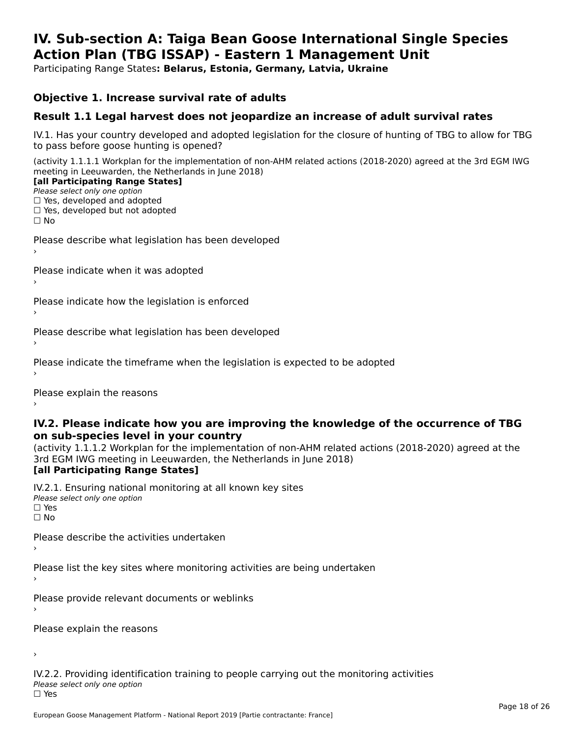#### **IV. Sub-section A: Taiga Bean Goose International Single Species Action Plan (TBG ISSAP) - Eastern 1 Management UnitAction Plan (TBG ISSAP) - Eastern 1 Management Unit**

Participating Range States**: Belarus, Estonia, Germany, Latvia, Ukraine** 

### **Objective 1. Increase survival rate of adults**

## **Result 1.1 Legal harvest does not jeopardize an increase of adult survival rates**

IV.1. Has your country developed and adopted legislation for the closure of hunting of TBG to allow for TBG IV.1. Thas your country developed and add<br>to pass before goose hunting is opened?

(activity 1.1.1.1 Workplan for the implementation of non-AHM related actions (2018-2020) agreed at the 3rd EGM IWG meeting in Leeuwarden, the Netherlands in June 2018) **[all Participating Range States]**

#### [all Participating Range States]

Please select only one option ☐ Yes, developed and adopted

☐ Yes, developed but not adopted

 $\Box$  ies, developed but not adopted

Please describe what legislation has been developed

Please indicate when it was adopted

Please indicate how the legislation is enforced

Please describe what legislation has been developed

Please indicate the timeframe when the legislation is expected to be adopted

Please explain the reasons

### **IV.2. Please indicate how you are improving the knowledge of the occurrence of TBG on sub-species level in your country**on sub-species level in your country

on sub-species fever in your country<br>(activity 1.1.1.2 Workplan for the implementation of non-AHM related actions (2018-2020) agreed at the **Brd EGM IWG meeting in Leeuwarden, the Netherlands in June 2018)** 

#### [all Participating Range States]

IV.2.1. Ensuring national monitoring at all known key sites <del>■ Western Chroning</del> Hational<br>Please select only one option  $\square$  Yes ☐ No

Please describe the activities undertaken

Please list the key sites where monitoring activities are being undertaken

Please provide relevant documents or weblinks

Please explain the reasons

›

IV.2.2. Providing identification training to people carrying out the monitoring activities <del>■ Western Fortung</del> Recrement<br>Please select only one option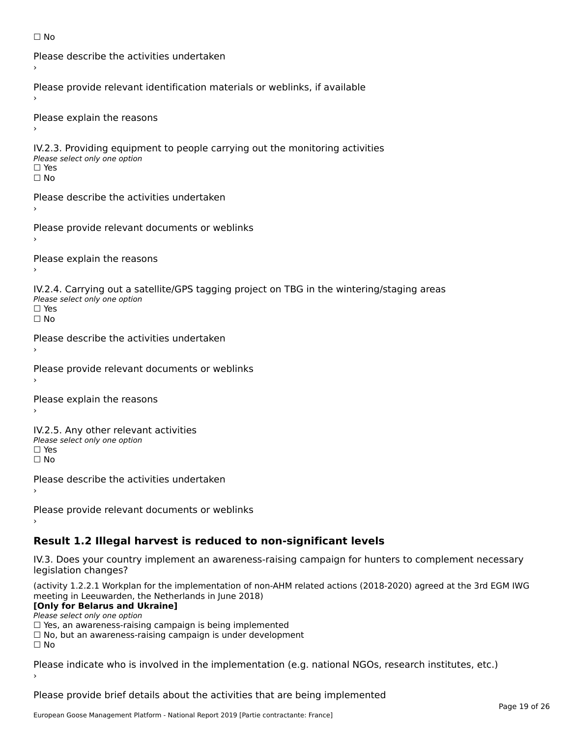```
☐ No
```

```
Please describe the activities undertaken›Please provide relevant identification materials or weblinks, if available
Please explain the reasons
IV.2.3. Providing equipment to people carrying out the monitoring activities
Please select only one option
☐ Yes□ Yes<br>□ No
Please describe the activities undertaken›Please provide relevant documents or weblinks
Please explain the reasons
IV.2.4. Carrying out a satellite/GPS tagging project on TBG in the wintering/staging areas
<del>∩</del><br>Please select only one option
□ Yes<br>□ No
Please describe the activities undertaken›Please provide relevant documents or weblinks
Please explain the reasons
IV.2.5. Any other relevant activities
Please select only one option
☐ Yes□ Yes<br>□ No
Please describe the activities undertaken›Please provide relevant documents or weblinks
Result 1.2 Illegal harvest is reduced to non-significant levels
```
IV.3. Does your country implement an awareness-raising campaign for hunters to complement necessary rv.5. Does your courr<br>legislation changes?

(activity 1.2.2.1 Workplan for the implementation of non-AHM related actions (2018-2020) agreed at the 3rd EGM IWG meeting in Leeuwarden, the Netherlands in June 2018)

### **[Only for Belarus and Ukraine]**

Please select only one option

riease select only one option<br>□ Yes, an awareness-raising campaign is being implemented<br>□ Yes, an awareness-raising campaign is under development

□ No, but an awareness-raising campaign is under development<br>□ N。

Please indicate who is involved in the implementation (e.g. national NGOs, research institutes, etc.)

Please provide brief details about the activities that are being implemented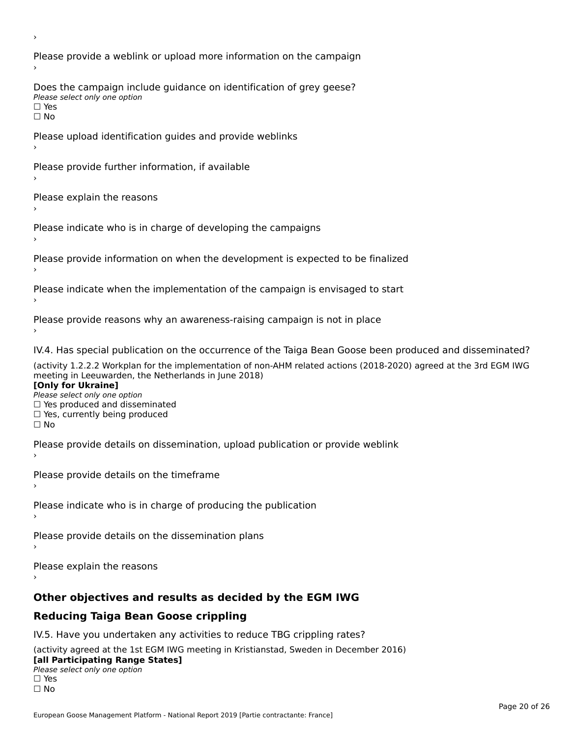Please provide a weblink or upload more information on the campaign Does the campaign include guidance on identification of grey geese? Please select only one option<br>□ Yes □ Yes<br>□ No Please upload identification guides and provide weblinks Please provide further information, if available Please explain the reasons Please indicate who is in charge of developing the campaigns Please provide information on when the development is expected to be finalized Please indicate when the implementation of the campaign is envisaged to start Please provide reasons why an awareness-raising campaign is not in place IV.4. Has special publication on the occurrence of the Taiga Bean Goose been produced and disseminated? (activity 1.2.2.2 Workplan for the implementation of non-AHM related actions (2018-2020) agreed at the 3rd EGM IWG **[Only for Ukraine] □ Yes produced and disseminated**<br>Please select only one option  $\Box$  ies produced and disseminated  $\Box$  ies, currently being produced Please provide details on dissemination, upload publication or provide weblink Please provide details on the timeframe Please indicate who is in charge of producing the publication Please provide details on the dissemination plans Please explain the reasons **Other objectives and results as decided by the EGM IWG Reducing Taiga Bean Goose crippling** IV.5. Have you undertaken any activities to reduce TBG crippling rates? (activity agreed at the 1st EGM IWG meeting in Kristianstad, Sweden in December 2016)

#### **[all Participating Range States]**[all Participating Range States]

- **Law Tarticipating Range**<br>Please select only one option
- □ Yes<br>□ No

›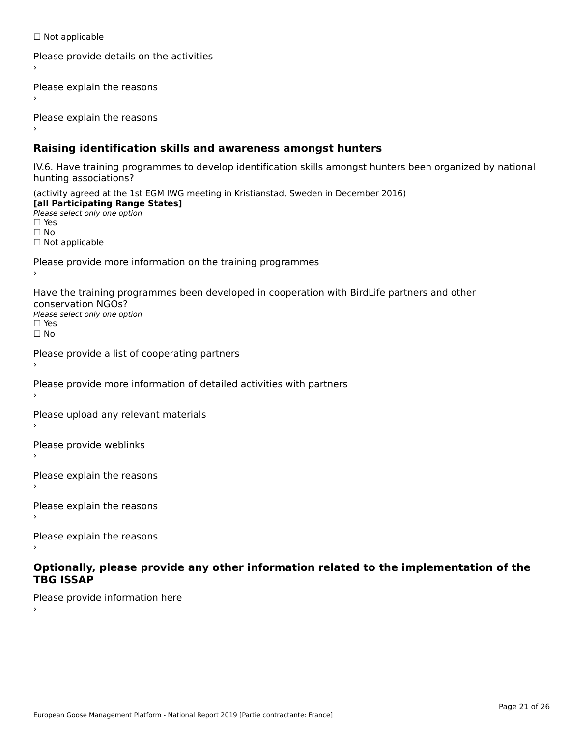☐ Not applicable

```
Please provide details on the activities
```
Please explain the reasons

Please explain the reasons

## **Raising identification skills and awareness amongst hunters**

IV.6. Have training programmes to develop identification skills amongst hunters been organized by national rv.o. riave training pro<br>hunting associations?

(activity agreed at the 1st EGM IWG meeting in Kristianstad, Sweden in December 2016) **[all Participating Range States]**[all Participating Range States] **Lan Tarticipating Range**<br>Please select only one option ☐ Yes☐ No□ Not applicable

Please provide more information on the training programmes

Have the training programmes been developed in cooperation with BirdLife partners and other conservation NGOs?Please select only one option☐ Yes☐ No

```
Please provide a list of cooperating partners
```
Please provide more information of detailed activities with partners

Please upload any relevant materials

Please provide weblinks

Please explain the reasons

Please explain the reasons›

Please explain the reasons

### **Optionally, please provide any other information related to the implementation of the TBG ISSAP**

Please provide information here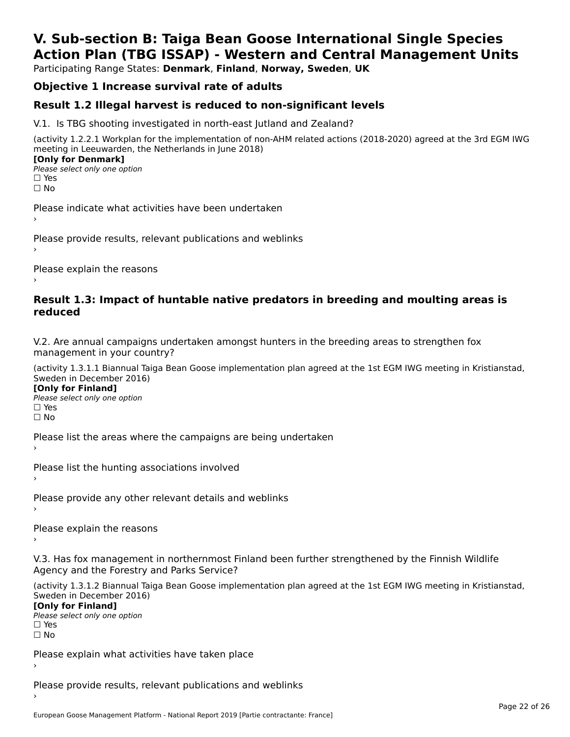# **V. Sub-section B: Taiga Bean Goose International Single SpeciesAction Plan (TBG ISSAP) - Western and Central Management Units**

Participating Range States: **Denmark**, **Finland**, **Norway, Sweden**, **UK**

# **Objective 1 Increase survival rate of adults**

## **Result 1.2 Illegal harvest is reduced to non-significant levels**

V.1. Is TBG shooting investigated in north-east Jutland and Zealand?

(activity 1.2.2.1 Workplan for the implementation of non-AHM related actions (2018-2020) agreed at the 3rd EGM IWG meeting in Leeuwarden, the Netherlands in June 2018) **[Only for Denmark] LOTTLY TOT DETITIONS**<br>Please select only one option

*riease*<br>□ Yes<br>□ No

Please indicate what activities have been undertaken›

Please provide results, relevant publications and weblinks ›

Please explain the reasons

### **Result 1.3: Impact of huntable native predators in breeding and moulting areas is reduced**

V.2. Are annual campaigns undertaken amongst hunters in the breeding areas to strengthen fox v.z. Are annual campaigns und<br>management in your country?

(activity 1.3.1.1 Biannual Taiga Bean Goose implementation plan agreed at the 1st EGM IWG meeting in Kristianstad, Sweden in December 2016)

**[Only for Finland]** Please select only one optionriease<br>□ Yes □ Yes<br>□ No

Please list the areas where the campaigns are being undertaken

Please list the hunting associations involved

Please provide any other relevant details and weblinks ›

Please explain the reasons›

V.3. Has fox management in northernmost Finland been further strengthened by the Finnish Wildlife v.5. Has fox management in northernmost F<br>Agency and the Forestry and Parks Service?

(activity 1.3.1.2 Biannual Taiga Bean Goose implementation plan agreed at the 1st EGM IWG meeting in Kristianstad, Sweden in December 2016) Sweden in December 2016)

[Only for Finland]

**Please select only one option** □ Yes<br>□ No

Please explain what activities have taken place

Please provide results, relevant publications and weblinks ›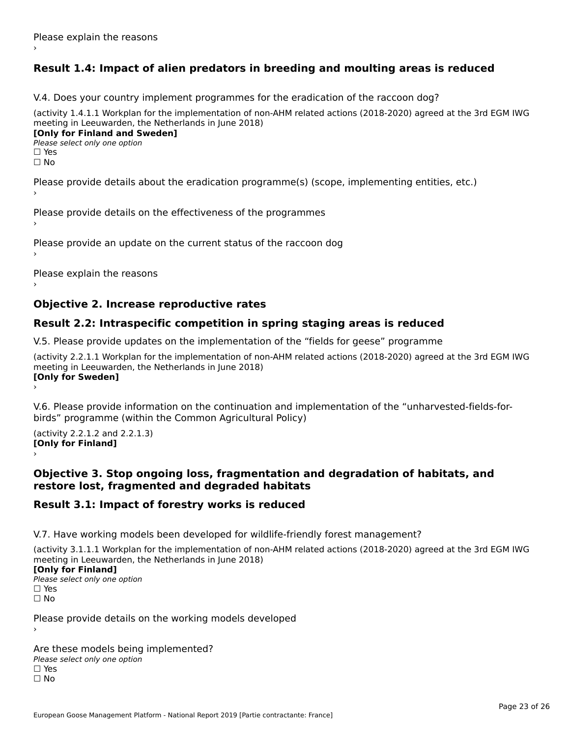# **Result 1.4: Impact of alien predators in breeding and moulting areas is reduced**

V.4. Does your country implement programmes for the eradication of the raccoon dog?

(activity 1.4.1.1 Workplan for the implementation of non-AHM related actions (2018-2020) agreed at the 3rd EGM IWG meeting in Leeuwarden, the Netherlands in June 2018) **[Only for Finland and Sweden]**

**Please select only one option** 

□ Yes<br>□ No

Please provide details about the eradication programme(s) (scope, implementing entities, etc.)

Please provide details on the effectiveness of the programmes

Please provide an update on the current status of the raccoon dog

Please explain the reasons

## **Objective 2. Increase reproductive rates**

## **Result 2.2: Intraspecific competition in spring staging areas is reduced**

V.5. Please provide updates on the implementation of the "fields for geese" programme

(activity 2.2.1.1 Workplan for the implementation of non-AHM related actions (2018-2020) agreed at the 3rd EGM IWG meeting in Leeuwarden, the Netherlands in June 2018) **[Only for Sweden]**Loury for Swedent

V.6. Please provide information on the continuation and implementation of the "unharvested-fields-forbirds" programme (within the Common Agricultural Policy)birds" programme (within the Common Agricultural Policy)

(activity 2.2.1.2 and 2.2.1.3) **[Only for Finland]** ›

### **Objective 3. Stop ongoing loss, fragmentation and degradation of habitats, and restore lost, fragmented and degraded habitats**

## **Result 3.1: Impact of forestry works is reduced**

V.7. Have working models been developed for wildlife-friendly forest management?

(activity 3.1.1.1 Workplan for the implementation of non-AHM related actions (2018-2020) agreed at the 3rd EGM IWG meeting in Leeuwarden, the Netherlands in June 2018)

### **[Only for Finland]**

**Please select only one option** □ Yes<br>□ No

Please provide details on the working models developed

Are these models being implemented? ∩ne enese moders being<br>Please select only one option □ Yes<br>□ No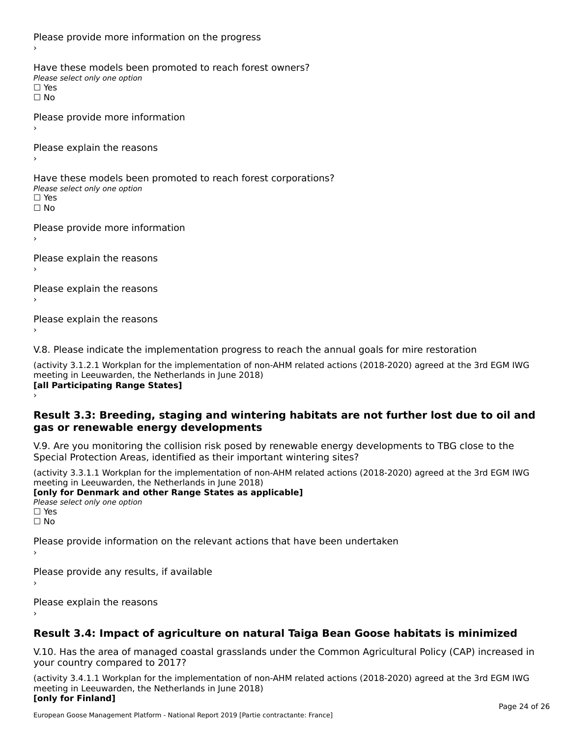Please provide more information on the progress Have these models been promoted to reach forest owners? ∩ave these models bee<br>Please select only one option □ Yes<br>□ No Please provide more information Please explain the reasons ›Have these models been promoted to reach forest corporations? ∩ave these models bee<br>Please select only one option □ Yes<br>□ No Please provide more information Please explain the reasons ›Please explain the reasons›Please explain the reasons›

V.8. Please indicate the implementation progress to reach the annual goals for mire restoration

(activity 3.1.2.1 Workplan for the implementation of non-AHM related actions (2018-2020) agreed at the 3rd EGM IWG meeting in Leeuwarden, the Netherlands in June 2018) **[all Participating Range States]** ›

**Result 3.3: Breeding, staging and wintering habitats are not further lost due to oil and gas or renewable energy developments**gas or renewable energy developments

V.9. Are you monitoring the collision risk posed by renewable energy developments to TBG close to the Special Protection Areas, identified as their important wintering sites?

(activity 3.3.1.1 Workplan for the implementation of non-AHM related actions (2018-2020) agreed at the 3rd EGM IWG meeting in Leeuwarden, the Netherlands in June 2018) **[only for Denmark and other Range States as applicable]**

```
Please select only one option
□ Yes<br>□ No
```
Please provide information on the relevant actions that have been undertaken ›

Please provide any results, if available

Please explain the reasons

# **Result 3.4: Impact of agriculture on natural Taiga Bean Goose habitats is minimized**

V.10. Has the area of managed coastal grasslands under the Common Agricultural Policy (CAP) increased in

(activity 3.4.1.1 Workplan for the implementation of non-AHM related actions (2018-2020) agreed at the 3rd EGM IWG meeting in Leeuwarden, the Netherlands in June 2018) **[only for Finland]**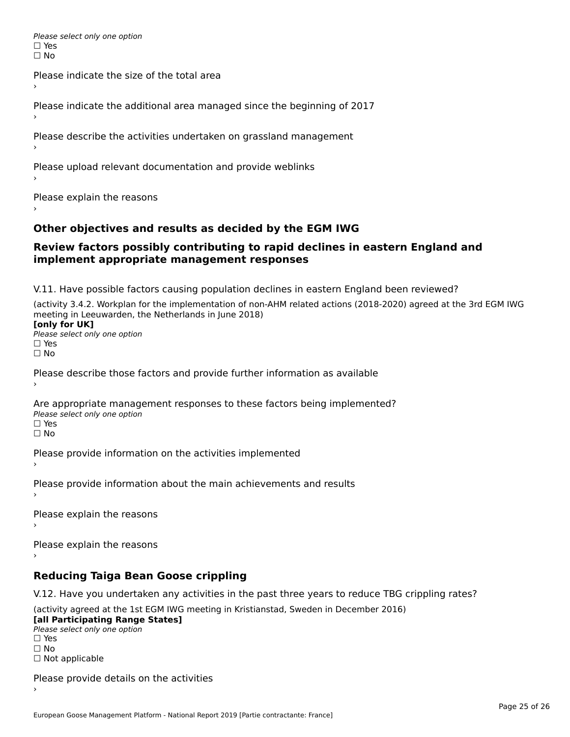Please select only one option □ Yes<br>□ No

Please indicate the size of the total area›

Please indicate the additional area managed since the beginning of 2017

Please describe the activities undertaken on grassland management

Please upload relevant documentation and provide weblinks

Please explain the reasons

## **Other objectives and results as decided by the EGM IWG**

### **Review factors possibly contributing to rapid declines in eastern England and implement appropriate management responses**implement appropriate management responses

V.11. Have possible factors causing population declines in eastern England been reviewed?

(activity 3.4.2. Workplan for the implementation of non-AHM related actions (2018-2020) agreed at the 3rd EGM IWG meeting in Leeuwarden, the Netherlands in June 2018)<br>**[only for UK]** 

**∐omy for OR**<br>Please select only one option □ Yes<br>□ No

Please describe those factors and provide further information as available

Are appropriate management responses to these factors being implemented? Please select only one option ים<br>⊡ No

Please provide information on the activities implemented

Please provide information about the main achievements and results›

Please explain the reasons

Please explain the reasons

**Reducing Taiga Bean Goose crippling**

V.12. Have you undertaken any activities in the past three years to reduce TBG crippling rates?

(activity agreed at the 1st EGM IWG meeting in Kristianstad, Sweden in December 2016) **[all Participating Range States]**

[all Participating Range States] Please select only one option☐ Yesים<br>⊡ No □ Not applicable

Please provide details on the activities